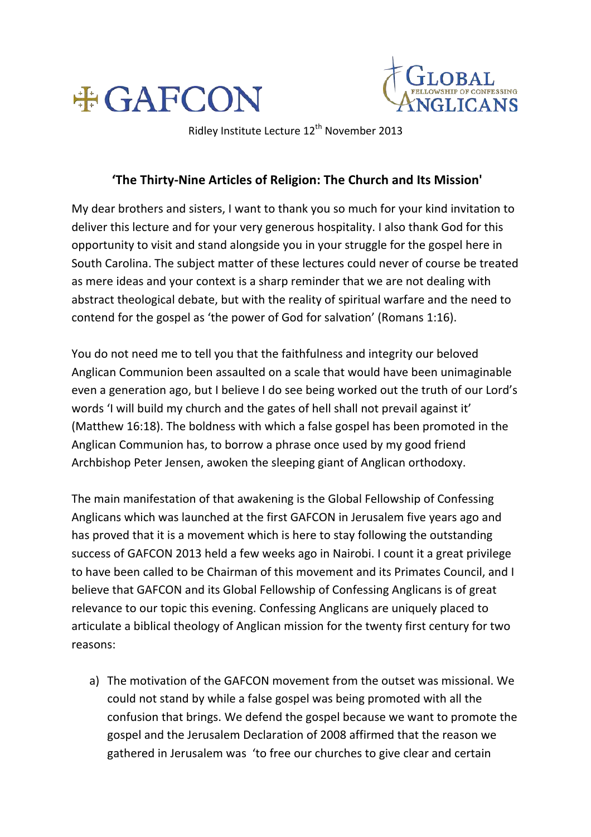



Ridley Institute Lecture 12<sup>th</sup> November 2013

## 'The Thirty-Nine Articles of Religion: The Church and Its Mission'

My dear brothers and sisters, I want to thank you so much for your kind invitation to deliver this lecture and for your very generous hospitality. I also thank God for this opportunity to visit and stand alongside you in your struggle for the gospel here in South Carolina. The subject matter of these lectures could never of course be treated as mere ideas and your context is a sharp reminder that we are not dealing with abstract theological debate, but with the reality of spiritual warfare and the need to contend for the gospel as 'the power of God for salvation' (Romans 1:16).

You do not need me to tell you that the faithfulness and integrity our beloved Anglican Communion been assaulted on a scale that would have been unimaginable even a generation ago, but I believe I do see being worked out the truth of our Lord's words 'I will build my church and the gates of hell shall not prevail against it' (Matthew 16:18). The boldness with which a false gospel has been promoted in the Anglican Communion has, to borrow a phrase once used by my good friend Archbishop Peter Jensen, awoken the sleeping giant of Anglican orthodoxy.

The main manifestation of that awakening is the Global Fellowship of Confessing Anglicans which was launched at the first GAFCON in Jerusalem five years ago and has proved that it is a movement which is here to stay following the outstanding success of GAFCON 2013 held a few weeks ago in Nairobi. I count it a great privilege to have been called to be Chairman of this movement and its Primates Council, and I believe that GAFCON and its Global Fellowship of Confessing Anglicans is of great relevance to our topic this evening. Confessing Anglicans are uniquely placed to articulate a biblical theology of Anglican mission for the twenty first century for two reasons:

a) The motivation of the GAFCON movement from the outset was missional. We could not stand by while a false gospel was being promoted with all the confusion that brings. We defend the gospel because we want to promote the gospel and the Jerusalem Declaration of 2008 affirmed that the reason we gathered in Jerusalem was 'to free our churches to give clear and certain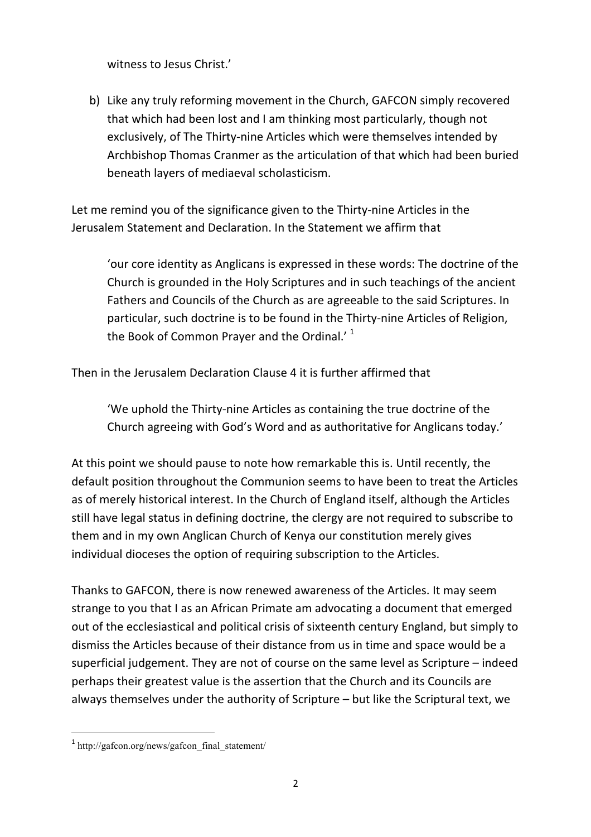witness to Jesus Christ.'

b) Like any truly reforming movement in the Church, GAFCON simply recovered that which had been lost and I am thinking most particularly, though not exclusively, of The Thirty-nine Articles which were themselves intended by Archbishop Thomas Cranmer as the articulation of that which had been buried beneath layers of mediaeval scholasticism.

Let me remind you of the significance given to the Thirty-nine Articles in the Jerusalem Statement and Declaration. In the Statement we affirm that

'our core identity as Anglicans is expressed in these words: The doctrine of the Church is grounded in the Holy Scriptures and in such teachings of the ancient Fathers and Councils of the Church as are agreeable to the said Scriptures. In particular, such doctrine is to be found in the Thirty-nine Articles of Religion, the Book of Common Prayer and the Ordinal.' $1$ 

Then in the Jerusalem Declaration Clause 4 it is further affirmed that

'We uphold the Thirty-nine Articles as containing the true doctrine of the Church agreeing with God's Word and as authoritative for Anglicans today.'

At this point we should pause to note how remarkable this is. Until recently, the default position throughout the Communion seems to have been to treat the Articles as of merely historical interest. In the Church of England itself, although the Articles still have legal status in defining doctrine, the clergy are not required to subscribe to them and in my own Anglican Church of Kenya our constitution merely gives individual dioceses the option of requiring subscription to the Articles.

Thanks to GAFCON, there is now renewed awareness of the Articles. It may seem strange to you that I as an African Primate am advocating a document that emerged out of the ecclesiastical and political crisis of sixteenth century England, but simply to dismiss the Articles because of their distance from us in time and space would be a superficial judgement. They are not of course on the same level as Scripture  $-$  indeed perhaps their greatest value is the assertion that the Church and its Councils are always themselves under the authority of Scripture  $-$  but like the Scriptural text, we

 $1$  http://gafcon.org/news/gafcon\_final\_statement/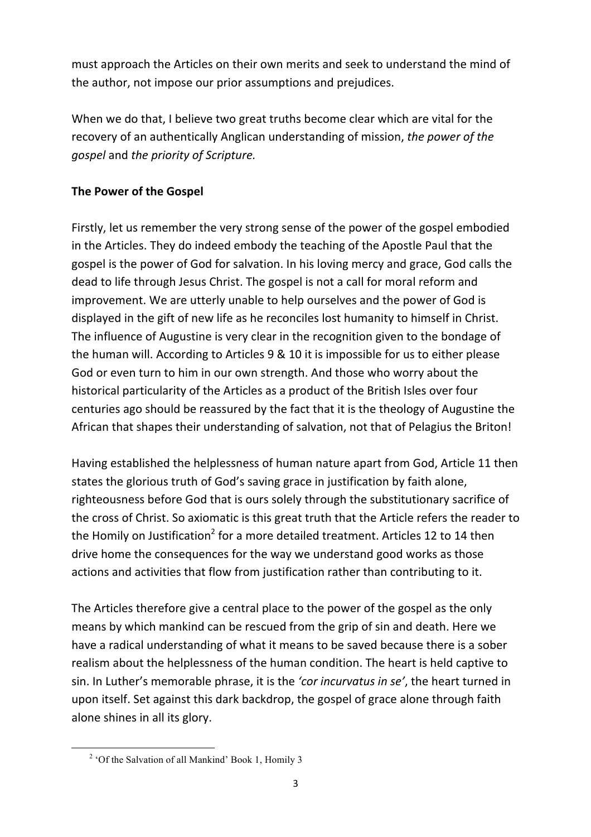must approach the Articles on their own merits and seek to understand the mind of the author, not impose our prior assumptions and prejudices.

When we do that, I believe two great truths become clear which are vital for the recovery of an authentically Anglican understanding of mission, the power of the gospel and the priority of Scripture.

## **The Power of the Gospel**

Firstly, let us remember the very strong sense of the power of the gospel embodied in the Articles. They do indeed embody the teaching of the Apostle Paul that the gospel is the power of God for salvation. In his loving mercy and grace, God calls the dead to life through Jesus Christ. The gospel is not a call for moral reform and improvement. We are utterly unable to help ourselves and the power of God is displayed in the gift of new life as he reconciles lost humanity to himself in Christ. The influence of Augustine is very clear in the recognition given to the bondage of the human will. According to Articles 9 & 10 it is impossible for us to either please God or even turn to him in our own strength. And those who worry about the historical particularity of the Articles as a product of the British Isles over four centuries ago should be reassured by the fact that it is the theology of Augustine the African that shapes their understanding of salvation, not that of Pelagius the Briton!

Having established the helplessness of human nature apart from God, Article 11 then states the glorious truth of God's saving grace in justification by faith alone, righteousness before God that is ours solely through the substitutionary sacrifice of the cross of Christ. So axiomatic is this great truth that the Article refers the reader to the Homily on Justification<sup>2</sup> for a more detailed treatment. Articles 12 to 14 then drive home the consequences for the way we understand good works as those actions and activities that flow from justification rather than contributing to it.

The Articles therefore give a central place to the power of the gospel as the only means by which mankind can be rescued from the grip of sin and death. Here we have a radical understanding of what it means to be saved because there is a sober realism about the helplessness of the human condition. The heart is held captive to sin. In Luther's memorable phrase, it is the 'cor incurvatus in se', the heart turned in upon itself. Set against this dark backdrop, the gospel of grace alone through faith alone shines in all its glory.

<sup>&</sup>lt;u> 1989 - Johann Barn, mars ann an t-Amhain an t-Amhain an t-Amhain an t-Amhain an t-Amhain an t-Amhain an t-Amh</u> <sup>2</sup> 'Of the Salvation of all Mankind' Book 1, Homily 3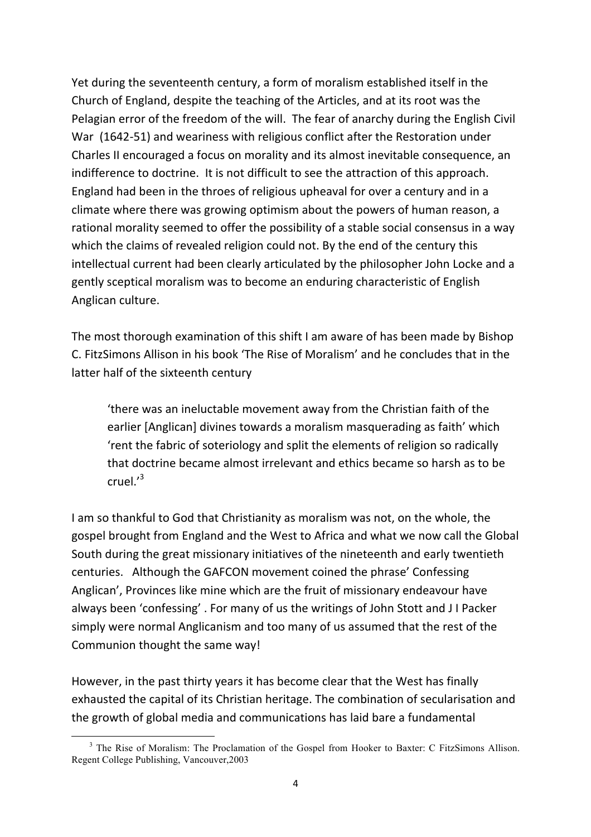Yet during the seventeenth century, a form of moralism established itself in the Church of England, despite the teaching of the Articles, and at its root was the Pelagian error of the freedom of the will. The fear of anarchy during the English Civil War (1642-51) and weariness with religious conflict after the Restoration under Charles II encouraged a focus on morality and its almost inevitable consequence, an indifference to doctrine. It is not difficult to see the attraction of this approach. England had been in the throes of religious upheaval for over a century and in a climate where there was growing optimism about the powers of human reason, a rational morality seemed to offer the possibility of a stable social consensus in a way which the claims of revealed religion could not. By the end of the century this intellectual current had been clearly articulated by the philosopher John Locke and a gently sceptical moralism was to become an enduring characteristic of English Anglican culture.

The most thorough examination of this shift I am aware of has been made by Bishop C. FitzSimons Allison in his book 'The Rise of Moralism' and he concludes that in the latter half of the sixteenth century

'there was an ineluctable movement away from the Christian faith of the earlier [Anglican] divines towards a moralism masquerading as faith' which 'rent the fabric of soteriology and split the elements of religion so radically that doctrine became almost irrelevant and ethics became so harsh as to be cruel.'3

I am so thankful to God that Christianity as moralism was not, on the whole, the gospel brought from England and the West to Africa and what we now call the Global South during the great missionary initiatives of the nineteenth and early twentieth centuries. Although the GAFCON movement coined the phrase' Confessing Anglican', Provinces like mine which are the fruit of missionary endeavour have always been 'confessing'. For many of us the writings of John Stott and JI Packer simply were normal Anglicanism and too many of us assumed that the rest of the Communion thought the same way!

However, in the past thirty years it has become clear that the West has finally exhausted the capital of its Christian heritage. The combination of secularisation and the growth of global media and communications has laid bare a fundamental

<sup>&</sup>lt;sup>3</sup> The Rise of Moralism: The Proclamation of the Gospel from Hooker to Baxter: C FitzSimons Allison. Regent College Publishing, Vancouver,2003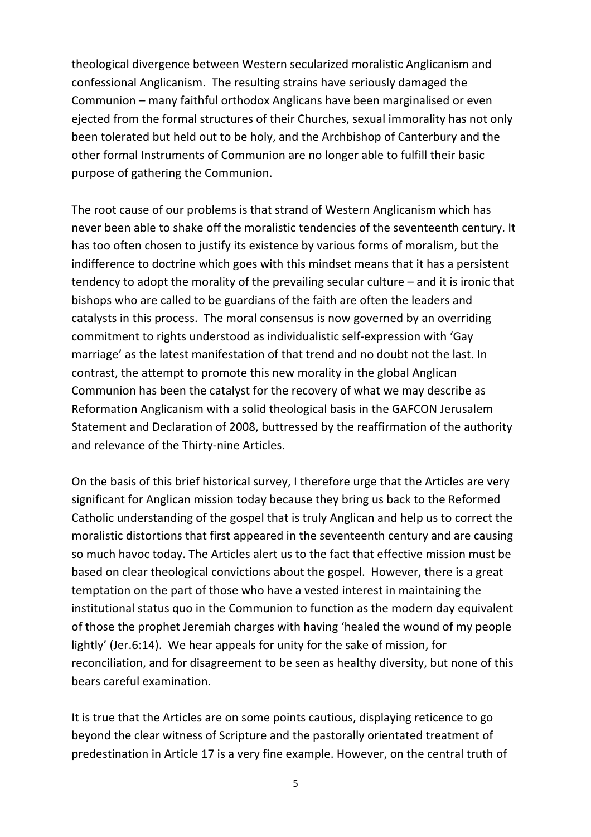theological divergence between Western secularized moralistic Anglicanism and confessional Anglicanism. The resulting strains have seriously damaged the Communion – many faithful orthodox Anglicans have been marginalised or even ejected from the formal structures of their Churches, sexual immorality has not only been tolerated but held out to be holy, and the Archbishop of Canterbury and the other formal Instruments of Communion are no longer able to fulfill their basic purpose of gathering the Communion.

The root cause of our problems is that strand of Western Anglicanism which has never been able to shake off the moralistic tendencies of the seventeenth century. It has too often chosen to justify its existence by various forms of moralism, but the indifference to doctrine which goes with this mindset means that it has a persistent tendency to adopt the morality of the prevailing secular culture  $-$  and it is ironic that bishops who are called to be guardians of the faith are often the leaders and catalysts in this process. The moral consensus is now governed by an overriding commitment to rights understood as individualistic self-expression with 'Gay marriage' as the latest manifestation of that trend and no doubt not the last. In contrast, the attempt to promote this new morality in the global Anglican Communion has been the catalyst for the recovery of what we may describe as Reformation Anglicanism with a solid theological basis in the GAFCON Jerusalem Statement and Declaration of 2008, buttressed by the reaffirmation of the authority and relevance of the Thirty-nine Articles.

On the basis of this brief historical survey, I therefore urge that the Articles are very significant for Anglican mission today because they bring us back to the Reformed Catholic understanding of the gospel that is truly Anglican and help us to correct the moralistic distortions that first appeared in the seventeenth century and are causing so much havoc today. The Articles alert us to the fact that effective mission must be based on clear theological convictions about the gospel. However, there is a great temptation on the part of those who have a vested interest in maintaining the institutional status quo in the Communion to function as the modern day equivalent of those the prophet Jeremiah charges with having 'healed the wound of my people lightly' (Jer.6:14). We hear appeals for unity for the sake of mission, for reconciliation, and for disagreement to be seen as healthy diversity, but none of this bears careful examination

It is true that the Articles are on some points cautious, displaying reticence to go beyond the clear witness of Scripture and the pastorally orientated treatment of predestination in Article 17 is a very fine example. However, on the central truth of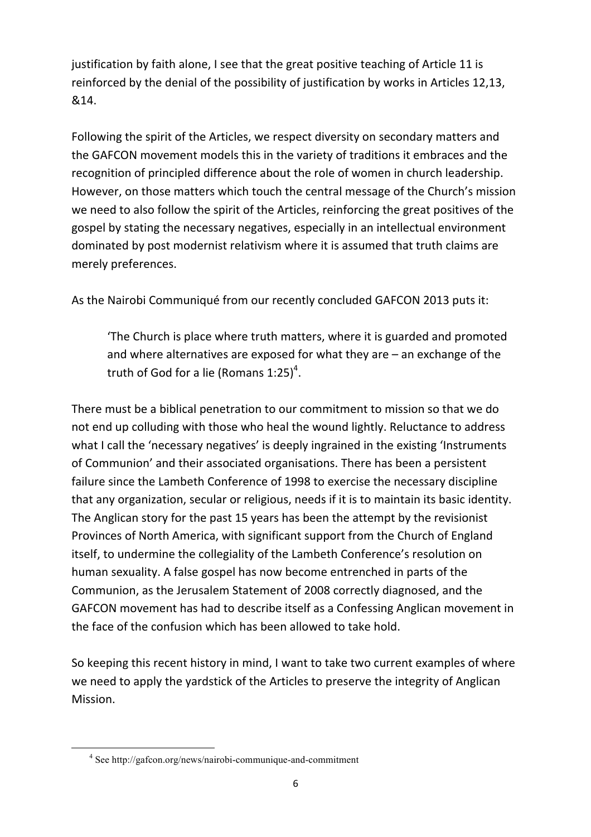justification by faith alone, I see that the great positive teaching of Article 11 is reinforced by the denial of the possibility of justification by works in Articles 12,13, &14.

Following the spirit of the Articles, we respect diversity on secondary matters and the GAFCON movement models this in the variety of traditions it embraces and the recognition of principled difference about the role of women in church leadership. However, on those matters which touch the central message of the Church's mission we need to also follow the spirit of the Articles, reinforcing the great positives of the gospel by stating the necessary negatives, especially in an intellectual environment dominated by post modernist relativism where it is assumed that truth claims are merely preferences.

As the Nairobi Communiqué from our recently concluded GAFCON 2013 puts it:

'The Church is place where truth matters, where it is guarded and promoted and where alternatives are exposed for what they are  $-$  an exchange of the truth of God for a lie (Romans 1:25)<sup>4</sup>.

There must be a biblical penetration to our commitment to mission so that we do not end up colluding with those who heal the wound lightly. Reluctance to address what I call the 'necessary negatives' is deeply ingrained in the existing 'Instruments of Communion' and their associated organisations. There has been a persistent failure since the Lambeth Conference of 1998 to exercise the necessary discipline that any organization, secular or religious, needs if it is to maintain its basic identity. The Anglican story for the past 15 years has been the attempt by the revisionist Provinces of North America, with significant support from the Church of England itself, to undermine the collegiality of the Lambeth Conference's resolution on human sexuality. A false gospel has now become entrenched in parts of the Communion, as the Jerusalem Statement of 2008 correctly diagnosed, and the GAFCON movement has had to describe itself as a Confessing Anglican movement in the face of the confusion which has been allowed to take hold.

So keeping this recent history in mind, I want to take two current examples of where we need to apply the yardstick of the Articles to preserve the integrity of Anglican Mission.

<sup>4</sup> See http://gafcon.org/news/nairobi-communique-and-commitment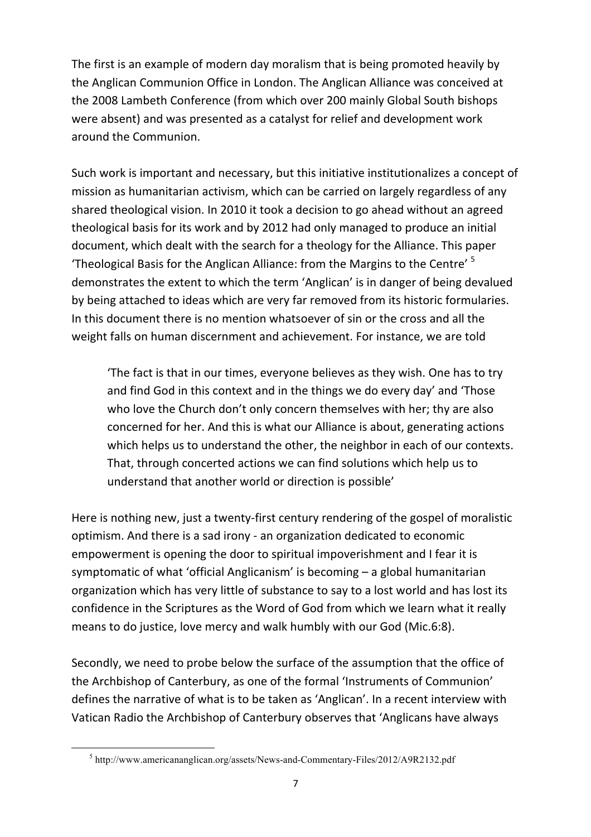The first is an example of modern day moralism that is being promoted heavily by the Anglican Communion Office in London. The Anglican Alliance was conceived at the 2008 Lambeth Conference (from which over 200 mainly Global South bishops were absent) and was presented as a catalyst for relief and development work around the Communion.

Such work is important and necessary, but this initiative institutionalizes a concept of mission as humanitarian activism, which can be carried on largely regardless of any shared theological vision. In 2010 it took a decision to go ahead without an agreed theological basis for its work and by 2012 had only managed to produce an initial document, which dealt with the search for a theology for the Alliance. This paper 'Theological Basis for the Anglican Alliance: from the Margins to the Centre'<sup>5</sup> demonstrates the extent to which the term 'Anglican' is in danger of being devalued by being attached to ideas which are very far removed from its historic formularies. In this document there is no mention whatsoever of sin or the cross and all the weight falls on human discernment and achievement. For instance, we are told

'The fact is that in our times, everyone believes as they wish. One has to try and find God in this context and in the things we do every day' and 'Those who love the Church don't only concern themselves with her; thy are also concerned for her. And this is what our Alliance is about, generating actions which helps us to understand the other, the neighbor in each of our contexts. That, through concerted actions we can find solutions which help us to understand that another world or direction is possible'

Here is nothing new, just a twenty-first century rendering of the gospel of moralistic optimism. And there is a sad irony - an organization dedicated to economic empowerment is opening the door to spiritual impoverishment and I fear it is symptomatic of what 'official Anglicanism' is becoming  $-$  a global humanitarian organization which has very little of substance to say to a lost world and has lost its confidence in the Scriptures as the Word of God from which we learn what it really means to do justice, love mercy and walk humbly with our God (Mic.6:8).

Secondly, we need to probe below the surface of the assumption that the office of the Archbishop of Canterbury, as one of the formal 'Instruments of Communion' defines the narrative of what is to be taken as 'Anglican'. In a recent interview with Vatican Radio the Archbishop of Canterbury observes that 'Anglicans have always

<sup>5</sup> http://www.americananglican.org/assets/News-and-Commentary-Files/2012/A9R2132.pdf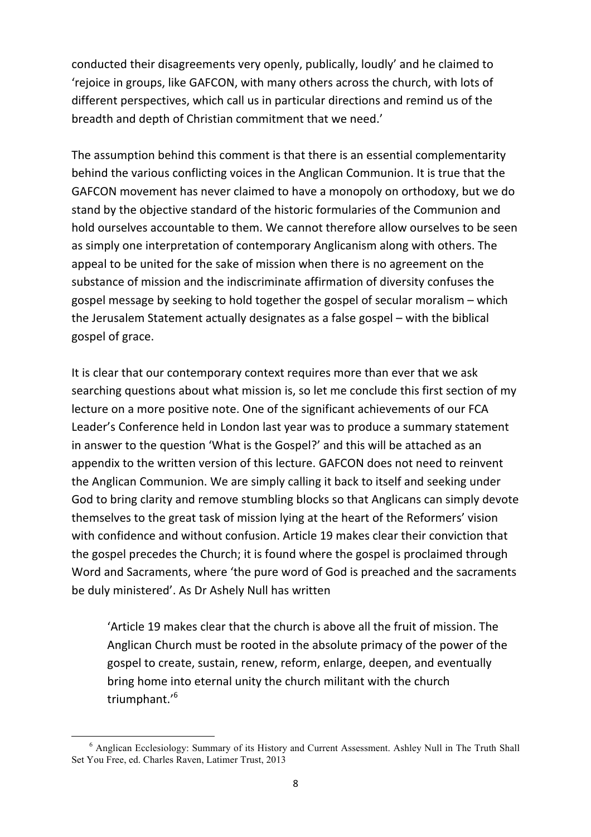conducted their disagreements very openly, publically, loudly' and he claimed to 'rejoice in groups, like GAFCON, with many others across the church, with lots of different perspectives, which call us in particular directions and remind us of the breadth and depth of Christian commitment that we need.'

The assumption behind this comment is that there is an essential complementarity behind the various conflicting voices in the Anglican Communion. It is true that the GAFCON movement has never claimed to have a monopoly on orthodoxy, but we do stand by the objective standard of the historic formularies of the Communion and hold ourselves accountable to them. We cannot therefore allow ourselves to be seen as simply one interpretation of contemporary Anglicanism along with others. The appeal to be united for the sake of mission when there is no agreement on the substance of mission and the indiscriminate affirmation of diversity confuses the gospel message by seeking to hold together the gospel of secular moralism - which the Jerusalem Statement actually designates as a false gospel – with the biblical gospel of grace.

It is clear that our contemporary context requires more than ever that we ask searching questions about what mission is, so let me conclude this first section of my lecture on a more positive note. One of the significant achievements of our FCA Leader's Conference held in London last year was to produce a summary statement in answer to the question 'What is the Gospel?' and this will be attached as an appendix to the written version of this lecture. GAFCON does not need to reinvent the Anglican Communion. We are simply calling it back to itself and seeking under God to bring clarity and remove stumbling blocks so that Anglicans can simply devote themselves to the great task of mission lying at the heart of the Reformers' vision with confidence and without confusion. Article 19 makes clear their conviction that the gospel precedes the Church; it is found where the gospel is proclaimed through Word and Sacraments, where 'the pure word of God is preached and the sacraments be duly ministered'. As Dr Ashely Null has written

'Article 19 makes clear that the church is above all the fruit of mission. The Anglican Church must be rooted in the absolute primacy of the power of the gospel to create, sustain, renew, reform, enlarge, deepen, and eventually bring home into eternal unity the church militant with the church triumphant.'6

<sup>6</sup> Anglican Ecclesiology: Summary of its History and Current Assessment. Ashley Null in The Truth Shall Set You Free, ed. Charles Raven, Latimer Trust, 2013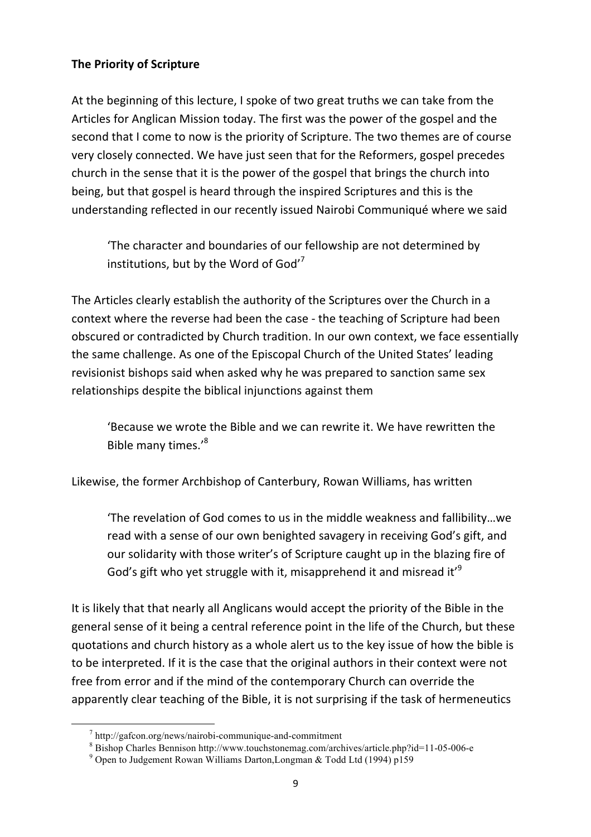## **The Priority of Scripture**

At the beginning of this lecture, I spoke of two great truths we can take from the Articles for Anglican Mission today. The first was the power of the gospel and the second that I come to now is the priority of Scripture. The two themes are of course very closely connected. We have just seen that for the Reformers, gospel precedes church in the sense that it is the power of the gospel that brings the church into being, but that gospel is heard through the inspired Scriptures and this is the understanding reflected in our recently issued Nairobi Communiqué where we said

'The character and boundaries of our fellowship are not determined by institutions, but by the Word of God'<sup>7</sup>

The Articles clearly establish the authority of the Scriptures over the Church in a context where the reverse had been the case - the teaching of Scripture had been obscured or contradicted by Church tradition. In our own context, we face essentially the same challenge. As one of the Episcopal Church of the United States' leading revisionist bishops said when asked why he was prepared to sanction same sex relationships despite the biblical injunctions against them

'Because we wrote the Bible and we can rewrite it. We have rewritten the Bible many times.'<sup>8</sup>

Likewise, the former Archbishop of Canterbury, Rowan Williams, has written

'The revelation of God comes to us in the middle weakness and fallibility...we read with a sense of our own benighted savagery in receiving God's gift, and our solidarity with those writer's of Scripture caught up in the blazing fire of God's gift who yet struggle with it, misapprehend it and misread it<sup>'9</sup>

It is likely that that nearly all Anglicans would accept the priority of the Bible in the general sense of it being a central reference point in the life of the Church, but these quotations and church history as a whole alert us to the key issue of how the bible is to be interpreted. If it is the case that the original authors in their context were not free from error and if the mind of the contemporary Church can override the apparently clear teaching of the Bible, it is not surprising if the task of hermeneutics

 $\frac{7}{1}$  http://gafcon.org/news/nairobi-communique-and-commitment

<sup>8</sup> Bishop Charles Bennison http://www.touchstonemag.com/archives/article.php?id=11-05-006-e

<sup>9</sup> Open to Judgement Rowan Williams Darton,Longman & Todd Ltd (1994) p159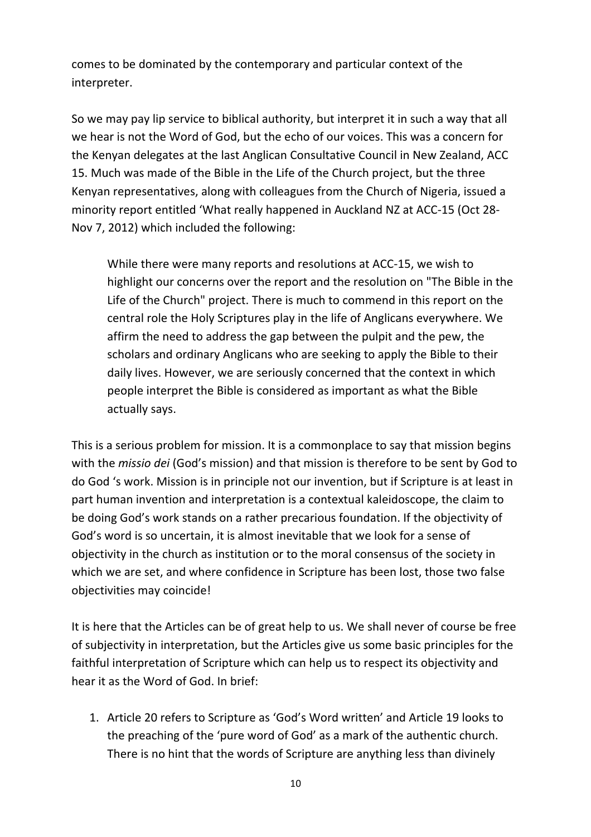comes to be dominated by the contemporary and particular context of the interpreter.

So we may pay lip service to biblical authority, but interpret it in such a way that all we hear is not the Word of God, but the echo of our voices. This was a concern for the Kenyan delegates at the last Anglican Consultative Council in New Zealand, ACC 15. Much was made of the Bible in the Life of the Church project, but the three Kenyan representatives, along with colleagues from the Church of Nigeria, issued a minority report entitled 'What really happened in Auckland NZ at ACC-15 (Oct 28-Nov 7, 2012) which included the following:

While there were many reports and resolutions at ACC-15, we wish to highlight our concerns over the report and the resolution on "The Bible in the Life of the Church" project. There is much to commend in this report on the central role the Holy Scriptures play in the life of Anglicans everywhere. We affirm the need to address the gap between the pulpit and the pew, the scholars and ordinary Anglicans who are seeking to apply the Bible to their daily lives. However, we are seriously concerned that the context in which people interpret the Bible is considered as important as what the Bible actually says.

This is a serious problem for mission. It is a commonplace to say that mission begins with the *missio dei* (God's mission) and that mission is therefore to be sent by God to do God 's work. Mission is in principle not our invention, but if Scripture is at least in part human invention and interpretation is a contextual kaleidoscope, the claim to be doing God's work stands on a rather precarious foundation. If the objectivity of God's word is so uncertain, it is almost inevitable that we look for a sense of objectivity in the church as institution or to the moral consensus of the society in which we are set, and where confidence in Scripture has been lost, those two false objectivities may coincide!

It is here that the Articles can be of great help to us. We shall never of course be free of subjectivity in interpretation, but the Articles give us some basic principles for the faithful interpretation of Scripture which can help us to respect its objectivity and hear it as the Word of God. In brief:

1. Article 20 refers to Scripture as 'God's Word written' and Article 19 looks to the preaching of the 'pure word of God' as a mark of the authentic church. There is no hint that the words of Scripture are anything less than divinely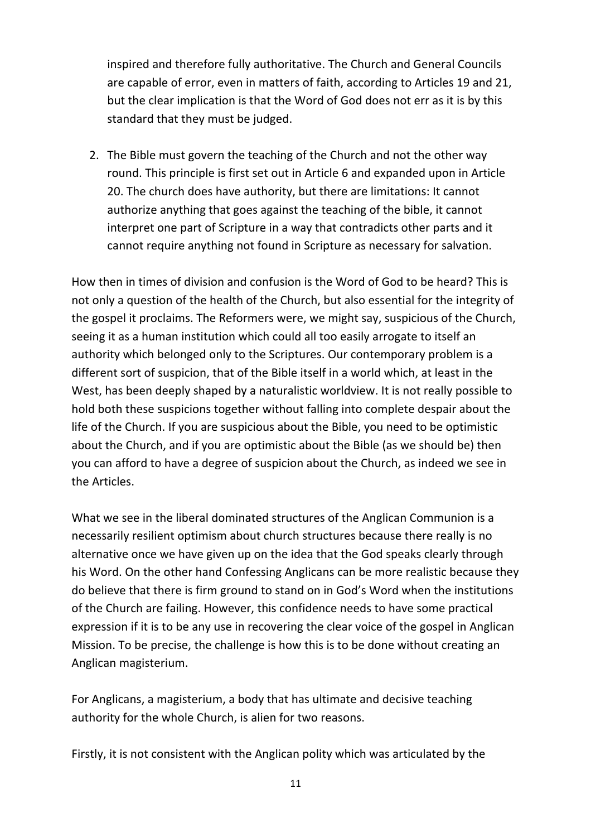inspired and therefore fully authoritative. The Church and General Councils are capable of error, even in matters of faith, according to Articles 19 and 21, but the clear implication is that the Word of God does not err as it is by this standard that they must be judged.

2. The Bible must govern the teaching of the Church and not the other way round. This principle is first set out in Article 6 and expanded upon in Article 20. The church does have authority, but there are limitations: It cannot authorize anything that goes against the teaching of the bible, it cannot interpret one part of Scripture in a way that contradicts other parts and it cannot require anything not found in Scripture as necessary for salvation.

How then in times of division and confusion is the Word of God to be heard? This is not only a question of the health of the Church, but also essential for the integrity of the gospel it proclaims. The Reformers were, we might say, suspicious of the Church, seeing it as a human institution which could all too easily arrogate to itself an authority which belonged only to the Scriptures. Our contemporary problem is a different sort of suspicion, that of the Bible itself in a world which, at least in the West, has been deeply shaped by a naturalistic worldview. It is not really possible to hold both these suspicions together without falling into complete despair about the life of the Church. If you are suspicious about the Bible, you need to be optimistic about the Church, and if you are optimistic about the Bible (as we should be) then you can afford to have a degree of suspicion about the Church, as indeed we see in the Articles.

What we see in the liberal dominated structures of the Anglican Communion is a necessarily resilient optimism about church structures because there really is no alternative once we have given up on the idea that the God speaks clearly through his Word. On the other hand Confessing Anglicans can be more realistic because they do believe that there is firm ground to stand on in God's Word when the institutions of the Church are failing. However, this confidence needs to have some practical expression if it is to be any use in recovering the clear voice of the gospel in Anglican Mission. To be precise, the challenge is how this is to be done without creating an Anglican magisterium.

For Anglicans, a magisterium, a body that has ultimate and decisive teaching authority for the whole Church, is alien for two reasons.

Firstly, it is not consistent with the Anglican polity which was articulated by the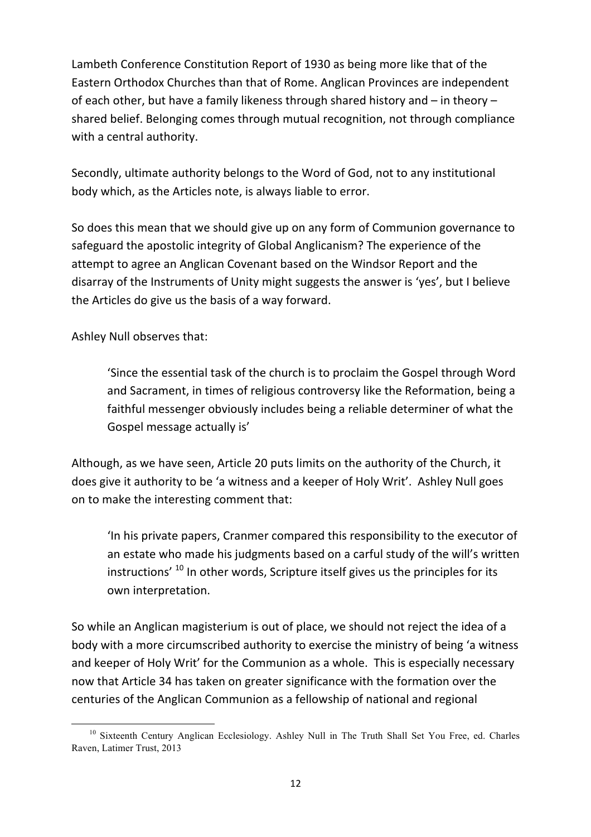Lambeth Conference Constitution Report of 1930 as being more like that of the Eastern Orthodox Churches than that of Rome. Anglican Provinces are independent of each other, but have a family likeness through shared history and  $-$  in theory  $$ shared belief. Belonging comes through mutual recognition, not through compliance with a central authority.

Secondly, ultimate authority belongs to the Word of God, not to any institutional body which, as the Articles note, is always liable to error.

So does this mean that we should give up on any form of Communion governance to safeguard the apostolic integrity of Global Anglicanism? The experience of the attempt to agree an Anglican Covenant based on the Windsor Report and the disarray of the Instruments of Unity might suggests the answer is 'yes', but I believe the Articles do give us the basis of a way forward.

Ashley Null observes that:

<u> 1989 - Johann Barn, mars ann an t-Amhain an t-Amhain an t-Amhain an t-Amhain an t-Amhain an t-Amhain an t-Amh</u>

'Since the essential task of the church is to proclaim the Gospel through Word and Sacrament, in times of religious controversy like the Reformation, being a faithful messenger obviously includes being a reliable determiner of what the Gospel message actually is'

Although, as we have seen, Article 20 puts limits on the authority of the Church, it does give it authority to be 'a witness and a keeper of Holy Writ'. Ashley Null goes on to make the interesting comment that:

'In his private papers, Cranmer compared this responsibility to the executor of an estate who made his judgments based on a carful study of the will's written  $\mu$  instructions<sup>' 10</sup> In other words. Scripture itself gives us the principles for its own interpretation.

So while an Anglican magisterium is out of place, we should not reject the idea of a body with a more circumscribed authority to exercise the ministry of being 'a witness and keeper of Holy Writ' for the Communion as a whole. This is especially necessary now that Article 34 has taken on greater significance with the formation over the centuries of the Anglican Communion as a fellowship of national and regional

<sup>&</sup>lt;sup>10</sup> Sixteenth Century Anglican Ecclesiology. Ashley Null in The Truth Shall Set You Free, ed. Charles Raven, Latimer Trust, 2013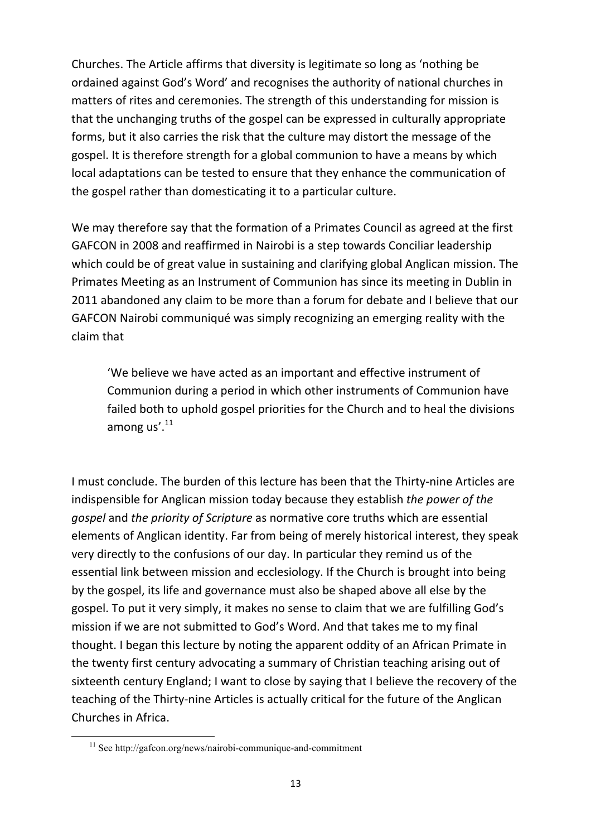Churches. The Article affirms that diversity is legitimate so long as 'nothing be ordained against God's Word' and recognises the authority of national churches in matters of rites and ceremonies. The strength of this understanding for mission is that the unchanging truths of the gospel can be expressed in culturally appropriate forms, but it also carries the risk that the culture may distort the message of the gospel. It is therefore strength for a global communion to have a means by which local adaptations can be tested to ensure that they enhance the communication of the gospel rather than domesticating it to a particular culture.

We may therefore say that the formation of a Primates Council as agreed at the first GAFCON in 2008 and reaffirmed in Nairobi is a step towards Conciliar leadership which could be of great value in sustaining and clarifying global Anglican mission. The Primates Meeting as an Instrument of Communion has since its meeting in Dublin in 2011 abandoned any claim to be more than a forum for debate and I believe that our GAFCON Nairobi communiqué was simply recognizing an emerging reality with the claim that

'We believe we have acted as an important and effective instrument of Communion during a period in which other instruments of Communion have failed both to uphold gospel priorities for the Church and to heal the divisions among us'.<sup>11</sup>

I must conclude. The burden of this lecture has been that the Thirty-nine Articles are indispensible for Anglican mission today because they establish the power of the *gospel* and the priority of Scripture as normative core truths which are essential elements of Anglican identity. Far from being of merely historical interest, they speak very directly to the confusions of our day. In particular they remind us of the essential link between mission and ecclesiology. If the Church is brought into being by the gospel, its life and governance must also be shaped above all else by the gospel. To put it very simply, it makes no sense to claim that we are fulfilling God's mission if we are not submitted to God's Word. And that takes me to my final thought. I began this lecture by noting the apparent oddity of an African Primate in the twenty first century advocating a summary of Christian teaching arising out of sixteenth century England; I want to close by saying that I believe the recovery of the teaching of the Thirty-nine Articles is actually critical for the future of the Anglican Churches in Africa.

<sup>11</sup> See http://gafcon.org/news/nairobi-communique-and-commitment